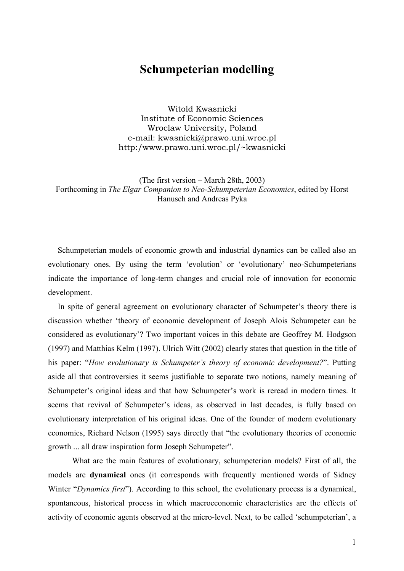# **Schumpeterian modelling**

Witold Kwasnicki Institute of Economic Sciences Wroclaw University, Poland e-mail: kwasnicki@prawo.uni.wroc.pl http:/www.prawo.uni.wroc.pl/~kwasnicki

(The first version – March 28th, 2003) Forthcoming in *The Elgar Companion to Neo-Schumpeterian Economics*, edited by Horst Hanusch and Andreas Pyka

Schumpeterian models of economic growth and industrial dynamics can be called also an evolutionary ones. By using the term 'evolution' or 'evolutionary' neo-Schumpeterians indicate the importance of long-term changes and crucial role of innovation for economic development.

In spite of general agreement on evolutionary character of Schumpeter's theory there is discussion whether 'theory of economic development of Joseph Alois Schumpeter can be considered as evolutionary'? Two important voices in this debate are Geoffrey M. Hodgson (1997) and Matthias Kelm (1997). Ulrich Witt (2002) clearly states that question in the title of his paper: "*How evolutionary is Schumpeter's theory of economic development?*". Putting aside all that controversies it seems justifiable to separate two notions, namely meaning of Schumpeter's original ideas and that how Schumpeter's work is reread in modern times. It seems that revival of Schumpeter's ideas, as observed in last decades, is fully based on evolutionary interpretation of his original ideas. One of the founder of modern evolutionary economics, Richard Nelson (1995) says directly that "the evolutionary theories of economic growth ... all draw inspiration form Joseph Schumpeter".

 What are the main features of evolutionary, schumpeterian models? First of all, the models are **dynamical** ones (it corresponds with frequently mentioned words of Sidney Winter "*Dynamics first*"). According to this school, the evolutionary process is a dynamical, spontaneous, historical process in which macroeconomic characteristics are the effects of activity of economic agents observed at the micro-level. Next, to be called 'schumpeterian', a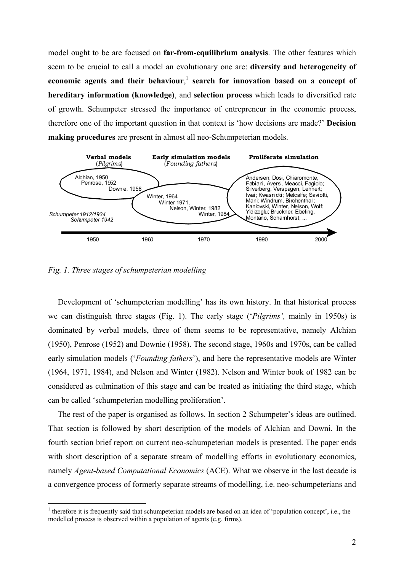model ought to be are focused on **far-from-equilibrium analysis**. The other features which seem to be crucial to call a model an evolutionary one are: **diversity and heterogeneity of economic agents and their behaviour**, <sup>1</sup> **search for innovation based on a concept of hereditary information (knowledge)**, and **selection process** which leads to diversified rate of growth. Schumpeter stressed the importance of entrepreneur in the economic process, therefore one of the important question in that context is 'how decisions are made?' **Decision making procedures** are present in almost all neo-Schumpeterian models.



*Fig. 1. Three stages of schumpeterian modelling* 

1

Development of 'schumpeterian modelling' has its own history. In that historical process we can distinguish three stages (Fig. 1). The early stage ('*Pilgrims',* mainly in 1950s) is dominated by verbal models, three of them seems to be representative, namely Alchian (1950), Penrose (1952) and Downie (1958). The second stage, 1960s and 1970s, can be called early simulation models ('*Founding fathers*'), and here the representative models are Winter (1964, 1971, 1984), and Nelson and Winter (1982). Nelson and Winter book of 1982 can be considered as culmination of this stage and can be treated as initiating the third stage, which can be called 'schumpeterian modelling proliferation'.

The rest of the paper is organised as follows. In section 2 Schumpeter's ideas are outlined. That section is followed by short description of the models of Alchian and Downi. In the fourth section brief report on current neo-schumpeterian models is presented. The paper ends with short description of a separate stream of modelling efforts in evolutionary economics, namely *Agent-based Computational Economics* (ACE). What we observe in the last decade is a convergence process of formerly separate streams of modelling, i.e. neo-schumpeterians and

<sup>&</sup>lt;sup>1</sup> therefore it is frequently said that schumpeterian models are based on an idea of 'population concept', i.e., the modelled process is observed within a population of agents (e.g. firms).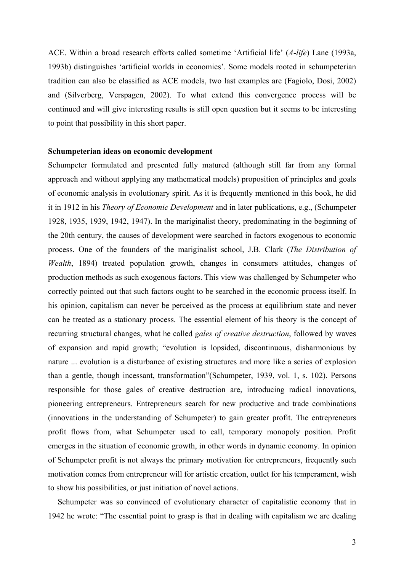ACE. Within a broad research efforts called sometime 'Artificial life' (*A-life*) Lane (1993a, 1993b) distinguishes 'artificial worlds in economics'. Some models rooted in schumpeterian tradition can also be classified as ACE models, two last examples are (Fagiolo, Dosi, 2002) and (Silverberg, Verspagen, 2002). To what extend this convergence process will be continued and will give interesting results is still open question but it seems to be interesting to point that possibility in this short paper.

#### **Schumpeterian ideas on economic development**

Schumpeter formulated and presented fully matured (although still far from any formal approach and without applying any mathematical models) proposition of principles and goals of economic analysis in evolutionary spirit. As it is frequently mentioned in this book, he did it in 1912 in his *Theory of Economic Development* and in later publications, e.g., (Schumpeter 1928, 1935, 1939, 1942, 1947). In the mariginalist theory, predominating in the beginning of the 20th century, the causes of development were searched in factors exogenous to economic process. One of the founders of the mariginalist school, J.B. Clark (*The Distribution of Wealth*, 1894) treated population growth, changes in consumers attitudes, changes of production methods as such exogenous factors. This view was challenged by Schumpeter who correctly pointed out that such factors ought to be searched in the economic process itself. In his opinion, capitalism can never be perceived as the process at equilibrium state and never can be treated as a stationary process. The essential element of his theory is the concept of recurring structural changes, what he called *gales of creative destruction*, followed by waves of expansion and rapid growth; "evolution is lopsided, discontinuous, disharmonious by nature ... evolution is a disturbance of existing structures and more like a series of explosion than a gentle, though incessant, transformation"(Schumpeter, 1939, vol. 1, s. 102). Persons responsible for those gales of creative destruction are, introducing radical innovations, pioneering entrepreneurs. Entrepreneurs search for new productive and trade combinations (innovations in the understanding of Schumpeter) to gain greater profit. The entrepreneurs profit flows from, what Schumpeter used to call, temporary monopoly position. Profit emerges in the situation of economic growth, in other words in dynamic economy. In opinion of Schumpeter profit is not always the primary motivation for entrepreneurs, frequently such motivation comes from entrepreneur will for artistic creation, outlet for his temperament, wish to show his possibilities, or just initiation of novel actions.

Schumpeter was so convinced of evolutionary character of capitalistic economy that in 1942 he wrote: "The essential point to grasp is that in dealing with capitalism we are dealing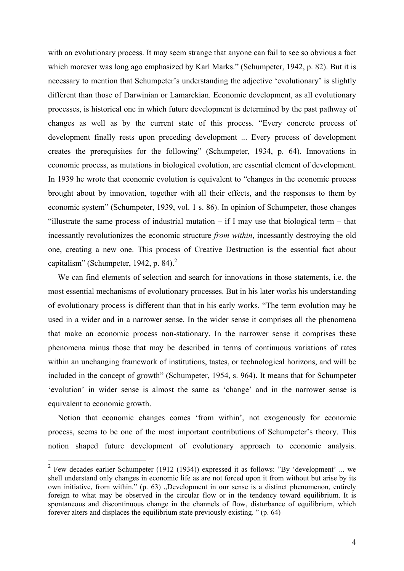with an evolutionary process. It may seem strange that anyone can fail to see so obvious a fact which morever was long ago emphasized by Karl Marks." (Schumpeter, 1942, p. 82). But it is necessary to mention that Schumpeter's understanding the adjective 'evolutionary' is slightly different than those of Darwinian or Lamarckian. Economic development, as all evolutionary processes, is historical one in which future development is determined by the past pathway of changes as well as by the current state of this process. "Every concrete process of development finally rests upon preceding development ... Every process of development creates the prerequisites for the following" (Schumpeter, 1934, p. 64). Innovations in economic process, as mutations in biological evolution, are essential element of development. In 1939 he wrote that economic evolution is equivalent to "changes in the economic process brought about by innovation, together with all their effects, and the responses to them by economic system" (Schumpeter, 1939, vol. 1 s. 86). In opinion of Schumpeter, those changes "illustrate the same process of industrial mutation  $-$  if I may use that biological term  $-$  that incessantly revolutionizes the economic structure *from within*, incessantly destroying the old one, creating a new one. This process of Creative Destruction is the essential fact about capitalism" (Schumpeter, 1942, p. 84). $2$ 

We can find elements of selection and search for innovations in those statements, i.e. the most essential mechanisms of evolutionary processes. But in his later works his understanding of evolutionary process is different than that in his early works. "The term evolution may be used in a wider and in a narrower sense. In the wider sense it comprises all the phenomena that make an economic process non-stationary. In the narrower sense it comprises these phenomena minus those that may be described in terms of continuous variations of rates within an unchanging framework of institutions, tastes, or technological horizons, and will be included in the concept of growth" (Schumpeter, 1954, s. 964). It means that for Schumpeter 'evolution' in wider sense is almost the same as 'change' and in the narrower sense is equivalent to economic growth.

Notion that economic changes comes 'from within', not exogenously for economic process, seems to be one of the most important contributions of Schumpeter's theory. This notion shaped future development of evolutionary approach to economic analysis.

1

<sup>&</sup>lt;sup>2</sup> Few decades earlier Schumpeter (1912 (1934)) expressed it as follows: "By 'development' ... we shell understand only changes in economic life as are not forced upon it from without but arise by its own initiative, from within." (p. 63) "Development in our sense is a distinct phenomenon, entirely foreign to what may be observed in the circular flow or in the tendency toward equilibrium. It is spontaneous and discontinuous change in the channels of flow, disturbance of equilibrium, which forever alters and displaces the equilibrium state previously existing. " (p. 64)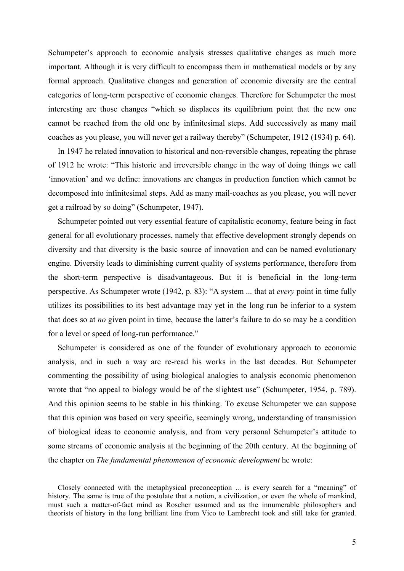Schumpeter's approach to economic analysis stresses qualitative changes as much more important. Although it is very difficult to encompass them in mathematical models or by any formal approach. Qualitative changes and generation of economic diversity are the central categories of long-term perspective of economic changes. Therefore for Schumpeter the most interesting are those changes "which so displaces its equilibrium point that the new one cannot be reached from the old one by infinitesimal steps. Add successively as many mail coaches as you please, you will never get a railway thereby" (Schumpeter, 1912 (1934) p. 64).

In 1947 he related innovation to historical and non-reversible changes, repeating the phrase of 1912 he wrote: "This historic and irreversible change in the way of doing things we call 'innovation' and we define: innovations are changes in production function which cannot be decomposed into infinitesimal steps. Add as many mail-coaches as you please, you will never get a railroad by so doing" (Schumpeter, 1947).

Schumpeter pointed out very essential feature of capitalistic economy, feature being in fact general for all evolutionary processes, namely that effective development strongly depends on diversity and that diversity is the basic source of innovation and can be named evolutionary engine. Diversity leads to diminishing current quality of systems performance, therefore from the short-term perspective is disadvantageous. But it is beneficial in the long-term perspective. As Schumpeter wrote (1942, p. 83): "A system ... that at *every* point in time fully utilizes its possibilities to its best advantage may yet in the long run be inferior to a system that does so at *no* given point in time, because the latter's failure to do so may be a condition for a level or speed of long-run performance."

Schumpeter is considered as one of the founder of evolutionary approach to economic analysis, and in such a way are re-read his works in the last decades. But Schumpeter commenting the possibility of using biological analogies to analysis economic phenomenon wrote that "no appeal to biology would be of the slightest use" (Schumpeter, 1954, p. 789). And this opinion seems to be stable in his thinking. To excuse Schumpeter we can suppose that this opinion was based on very specific, seemingly wrong, understanding of transmission of biological ideas to economic analysis, and from very personal Schumpeter's attitude to some streams of economic analysis at the beginning of the 20th century. At the beginning of the chapter on *The fundamental phenomenon of economic development* he wrote:

Closely connected with the metaphysical preconception ... is every search for a "meaning" of history. The same is true of the postulate that a notion, a civilization, or even the whole of mankind, must such a matter-of-fact mind as Roscher assumed and as the innumerable philosophers and theorists of history in the long brilliant line from Vico to Lambrecht took and still take for granted.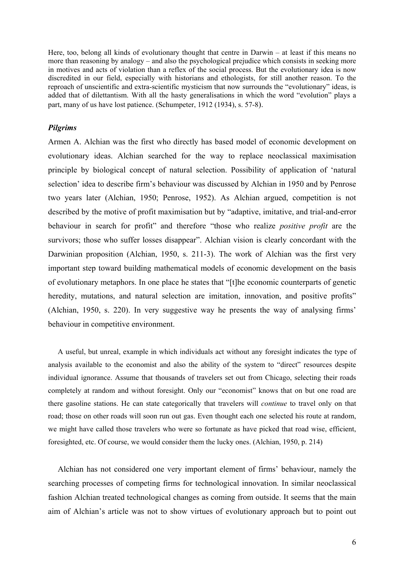Here, too, belong all kinds of evolutionary thought that centre in Darwin – at least if this means no more than reasoning by analogy – and also the psychological prejudice which consists in seeking more in motives and acts of violation than a reflex of the social process. But the evolutionary idea is now discredited in our field, especially with historians and ethologists, for still another reason. To the reproach of unscientific and extra-scientific mysticism that now surrounds the "evolutionary" ideas, is added that of dilettantism. With all the hasty generalisations in which the word "evolution" plays a part, many of us have lost patience. (Schumpeter, 1912 (1934), s. 57-8).

## *Pilgrims*

Armen A. Alchian was the first who directly has based model of economic development on evolutionary ideas. Alchian searched for the way to replace neoclassical maximisation principle by biological concept of natural selection. Possibility of application of 'natural selection' idea to describe firm's behaviour was discussed by Alchian in 1950 and by Penrose two years later (Alchian, 1950; Penrose, 1952). As Alchian argued, competition is not described by the motive of profit maximisation but by "adaptive, imitative, and trial-and-error behaviour in search for profit" and therefore "those who realize *positive profit* are the survivors; those who suffer losses disappear". Alchian vision is clearly concordant with the Darwinian proposition (Alchian, 1950, s. 211-3). The work of Alchian was the first very important step toward building mathematical models of economic development on the basis of evolutionary metaphors. In one place he states that "[t]he economic counterparts of genetic heredity, mutations, and natural selection are imitation, innovation, and positive profits" (Alchian, 1950, s. 220). In very suggestive way he presents the way of analysing firms' behaviour in competitive environment.

A useful, but unreal, example in which individuals act without any foresight indicates the type of analysis available to the economist and also the ability of the system to "direct" resources despite individual ignorance. Assume that thousands of travelers set out from Chicago, selecting their roads completely at random and without foresight. Only our "economist" knows that on but one road are there gasoline stations. He can state categorically that travelers will *continue* to travel only on that road; those on other roads will soon run out gas. Even thought each one selected his route at random, we might have called those travelers who were so fortunate as have picked that road wise, efficient, foresighted, etc. Of course, we would consider them the lucky ones. (Alchian, 1950, p. 214)

Alchian has not considered one very important element of firms' behaviour, namely the searching processes of competing firms for technological innovation. In similar neoclassical fashion Alchian treated technological changes as coming from outside. It seems that the main aim of Alchian's article was not to show virtues of evolutionary approach but to point out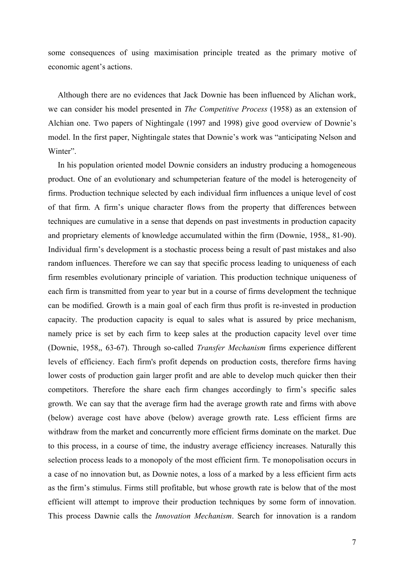some consequences of using maximisation principle treated as the primary motive of economic agent's actions.

Although there are no evidences that Jack Downie has been influenced by Alichan work, we can consider his model presented in *The Competitive Process* (1958) as an extension of Alchian one. Two papers of Nightingale (1997 and 1998) give good overview of Downie's model. In the first paper, Nightingale states that Downie's work was "anticipating Nelson and Winter".

In his population oriented model Downie considers an industry producing a homogeneous product. One of an evolutionary and schumpeterian feature of the model is heterogeneity of firms. Production technique selected by each individual firm influences a unique level of cost of that firm. A firm's unique character flows from the property that differences between techniques are cumulative in a sense that depends on past investments in production capacity and proprietary elements of knowledge accumulated within the firm (Downie, 1958,, 81-90). Individual firm's development is a stochastic process being a result of past mistakes and also random influences. Therefore we can say that specific process leading to uniqueness of each firm resembles evolutionary principle of variation. This production technique uniqueness of each firm is transmitted from year to year but in a course of firms development the technique can be modified. Growth is a main goal of each firm thus profit is re-invested in production capacity. The production capacity is equal to sales what is assured by price mechanism, namely price is set by each firm to keep sales at the production capacity level over time (Downie, 1958,, 63-67). Through so-called *Transfer Mechanism* firms experience different levels of efficiency. Each firm's profit depends on production costs, therefore firms having lower costs of production gain larger profit and are able to develop much quicker then their competitors. Therefore the share each firm changes accordingly to firm's specific sales growth. We can say that the average firm had the average growth rate and firms with above (below) average cost have above (below) average growth rate. Less efficient firms are withdraw from the market and concurrently more efficient firms dominate on the market. Due to this process, in a course of time, the industry average efficiency increases. Naturally this selection process leads to a monopoly of the most efficient firm. Te monopolisation occurs in a case of no innovation but, as Downie notes, a loss of a marked by a less efficient firm acts as the firm's stimulus. Firms still profitable, but whose growth rate is below that of the most efficient will attempt to improve their production techniques by some form of innovation. This process Dawnie calls the *Innovation Mechanism*. Search for innovation is a random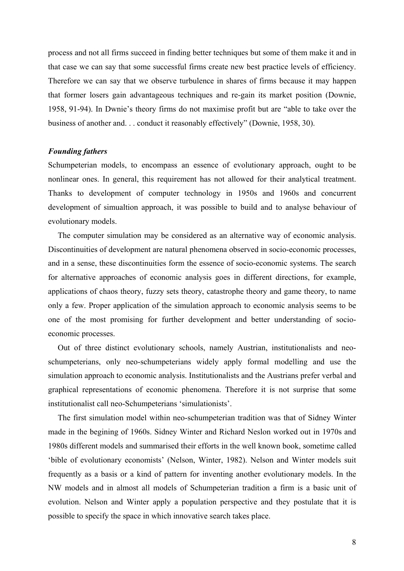process and not all firms succeed in finding better techniques but some of them make it and in that case we can say that some successful firms create new best practice levels of efficiency. Therefore we can say that we observe turbulence in shares of firms because it may happen that former losers gain advantageous techniques and re-gain its market position (Downie, 1958, 91-94). In Dwnie's theory firms do not maximise profit but are "able to take over the business of another and. . . conduct it reasonably effectively" (Downie, 1958, 30).

#### *Founding fathers*

Schumpeterian models, to encompass an essence of evolutionary approach, ought to be nonlinear ones. In general, this requirement has not allowed for their analytical treatment. Thanks to development of computer technology in 1950s and 1960s and concurrent development of simualtion approach, it was possible to build and to analyse behaviour of evolutionary models.

The computer simulation may be considered as an alternative way of economic analysis. Discontinuities of development are natural phenomena observed in socio-economic processes, and in a sense, these discontinuities form the essence of socio-economic systems. The search for alternative approaches of economic analysis goes in different directions, for example, applications of chaos theory, fuzzy sets theory, catastrophe theory and game theory, to name only a few. Proper application of the simulation approach to economic analysis seems to be one of the most promising for further development and better understanding of socioeconomic processes.

Out of three distinct evolutionary schools, namely Austrian, institutionalists and neoschumpeterians, only neo-schumpeterians widely apply formal modelling and use the simulation approach to economic analysis. Institutionalists and the Austrians prefer verbal and graphical representations of economic phenomena. Therefore it is not surprise that some institutionalist call neo-Schumpeterians 'simulationists'.

 The first simulation model within neo-schumpeterian tradition was that of Sidney Winter made in the begining of 1960s. Sidney Winter and Richard Neslon worked out in 1970s and 1980s different models and summarised their efforts in the well known book, sometime called 'bible of evolutionary economists' (Nelson, Winter, 1982). Nelson and Winter models suit frequently as a basis or a kind of pattern for inventing another evolutionary models. In the NW models and in almost all models of Schumpeterian tradition a firm is a basic unit of evolution. Nelson and Winter apply a population perspective and they postulate that it is possible to specify the space in which innovative search takes place.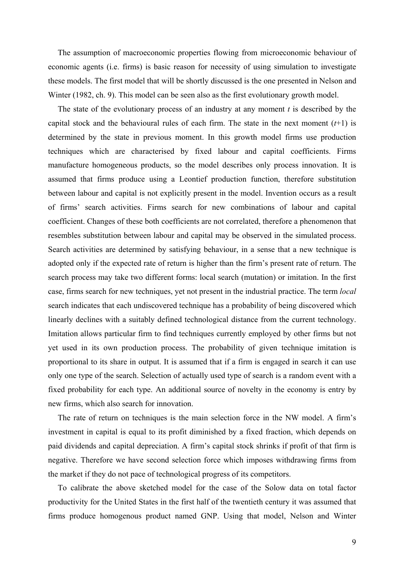The assumption of macroeconomic properties flowing from microeconomic behaviour of economic agents (i.e. firms) is basic reason for necessity of using simulation to investigate these models. The first model that will be shortly discussed is the one presented in Nelson and Winter (1982, ch. 9). This model can be seen also as the first evolutionary growth model.

 The state of the evolutionary process of an industry at any moment *t* is described by the capital stock and the behavioural rules of each firm. The state in the next moment  $(t+1)$  is determined by the state in previous moment. In this growth model firms use production techniques which are characterised by fixed labour and capital coefficients. Firms manufacture homogeneous products, so the model describes only process innovation. It is assumed that firms produce using a Leontief production function, therefore substitution between labour and capital is not explicitly present in the model. Invention occurs as a result of firms' search activities. Firms search for new combinations of labour and capital coefficient. Changes of these both coefficients are not correlated, therefore a phenomenon that resembles substitution between labour and capital may be observed in the simulated process. Search activities are determined by satisfying behaviour, in a sense that a new technique is adopted only if the expected rate of return is higher than the firm's present rate of return. The search process may take two different forms: local search (mutation) or imitation. In the first case, firms search for new techniques, yet not present in the industrial practice. The term *local*  search indicates that each undiscovered technique has a probability of being discovered which linearly declines with a suitably defined technological distance from the current technology. Imitation allows particular firm to find techniques currently employed by other firms but not yet used in its own production process. The probability of given technique imitation is proportional to its share in output. It is assumed that if a firm is engaged in search it can use only one type of the search. Selection of actually used type of search is a random event with a fixed probability for each type. An additional source of novelty in the economy is entry by new firms, which also search for innovation.

 The rate of return on techniques is the main selection force in the NW model. A firm's investment in capital is equal to its profit diminished by a fixed fraction, which depends on paid dividends and capital depreciation. A firm's capital stock shrinks if profit of that firm is negative. Therefore we have second selection force which imposes withdrawing firms from the market if they do not pace of technological progress of its competitors.

 To calibrate the above sketched model for the case of the Solow data on total factor productivity for the United States in the first half of the twentieth century it was assumed that firms produce homogenous product named GNP. Using that model, Nelson and Winter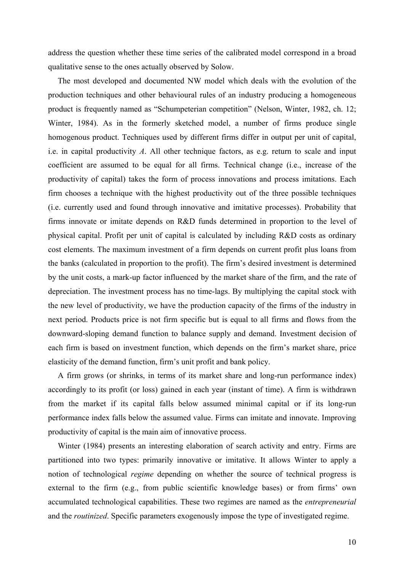address the question whether these time series of the calibrated model correspond in a broad qualitative sense to the ones actually observed by Solow.

 The most developed and documented NW model which deals with the evolution of the production techniques and other behavioural rules of an industry producing a homogeneous product is frequently named as "Schumpeterian competition" (Nelson, Winter, 1982, ch. 12; Winter, 1984). As in the formerly sketched model, a number of firms produce single homogenous product. Techniques used by different firms differ in output per unit of capital, i.e. in capital productivity *A*. All other technique factors, as e.g. return to scale and input coefficient are assumed to be equal for all firms. Technical change (i.e., increase of the productivity of capital) takes the form of process innovations and process imitations. Each firm chooses a technique with the highest productivity out of the three possible techniques (i.e. currently used and found through innovative and imitative processes). Probability that firms innovate or imitate depends on R&D funds determined in proportion to the level of physical capital. Profit per unit of capital is calculated by including R&D costs as ordinary cost elements. The maximum investment of a firm depends on current profit plus loans from the banks (calculated in proportion to the profit). The firm's desired investment is determined by the unit costs, a mark-up factor influenced by the market share of the firm, and the rate of depreciation. The investment process has no time-lags. By multiplying the capital stock with the new level of productivity, we have the production capacity of the firms of the industry in next period. Products price is not firm specific but is equal to all firms and flows from the downward-sloping demand function to balance supply and demand. Investment decision of each firm is based on investment function, which depends on the firm's market share, price elasticity of the demand function, firm's unit profit and bank policy.

 A firm grows (or shrinks, in terms of its market share and long-run performance index) accordingly to its profit (or loss) gained in each year (instant of time). A firm is withdrawn from the market if its capital falls below assumed minimal capital or if its long-run performance index falls below the assumed value. Firms can imitate and innovate. Improving productivity of capital is the main aim of innovative process.

 Winter (1984) presents an interesting elaboration of search activity and entry. Firms are partitioned into two types: primarily innovative or imitative. It allows Winter to apply a notion of technological *regime* depending on whether the source of technical progress is external to the firm (e.g., from public scientific knowledge bases) or from firms' own accumulated technological capabilities. These two regimes are named as the *entrepreneurial*  and the *routinized*. Specific parameters exogenously impose the type of investigated regime.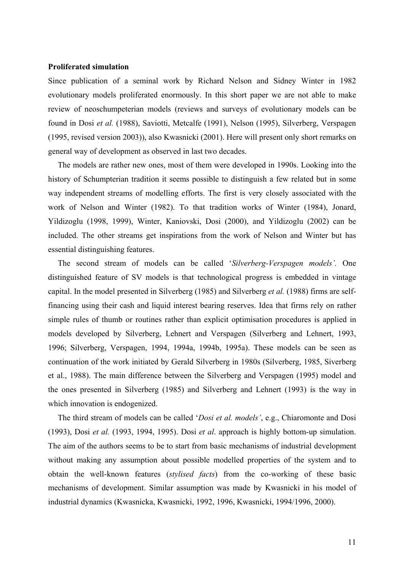### **Proliferated simulation**

Since publication of a seminal work by Richard Nelson and Sidney Winter in 1982 evolutionary models proliferated enormously. In this short paper we are not able to make review of neoschumpeterian models (reviews and surveys of evolutionary models can be found in Dosi *et al.* (1988), Saviotti, Metcalfe (1991), Nelson (1995), Silverberg, Verspagen (1995, revised version 2003)), also Kwasnicki (2001). Here will present only short remarks on general way of development as observed in last two decades.

 The models are rather new ones, most of them were developed in 1990s. Looking into the history of Schumpterian tradition it seems possible to distinguish a few related but in some way independent streams of modelling efforts. The first is very closely associated with the work of Nelson and Winter (1982). To that tradition works of Winter (1984), Jonard, Yildizoglu (1998, 1999), Winter, Kaniovski, Dosi (2000), and Yildizoglu (2002) can be included. The other streams get inspirations from the work of Nelson and Winter but has essential distinguishing features.

The second stream of models can be called '*Silverberg-Verspagen models'.* One distinguished feature of SV models is that technological progress is embedded in vintage capital. In the model presented in Silverberg (1985) and Silverberg *et al.* (1988) firms are selffinancing using their cash and liquid interest bearing reserves. Idea that firms rely on rather simple rules of thumb or routines rather than explicit optimisation procedures is applied in models developed by Silverberg, Lehnert and Verspagen (Silverberg and Lehnert, 1993, 1996; Silverberg, Verspagen, 1994, 1994a, 1994b, 1995a). These models can be seen as continuation of the work initiated by Gerald Silverberg in 1980s (Silverberg, 1985, Siverberg et al., 1988). The main difference between the Silverberg and Verspagen (1995) model and the ones presented in Silverberg (1985) and Silverberg and Lehnert (1993) is the way in which innovation is endogenized.

The third stream of models can be called '*Dosi et al. models'*, e.g., Chiaromonte and Dosi (1993), Dosi *et al.* (1993, 1994, 1995). Dosi *et al*. approach is highly bottom-up simulation. The aim of the authors seems to be to start from basic mechanisms of industrial development without making any assumption about possible modelled properties of the system and to obtain the well-known features (*stylised facts*) from the co-working of these basic mechanisms of development. Similar assumption was made by Kwasnicki in his model of industrial dynamics (Kwasnicka, Kwasnicki, 1992, 1996, Kwasnicki, 1994/1996, 2000).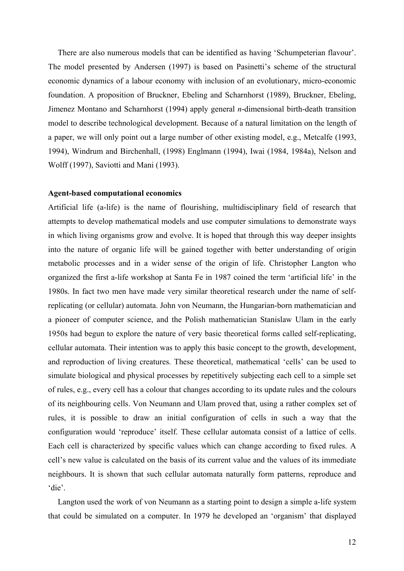There are also numerous models that can be identified as having 'Schumpeterian flavour'. The model presented by Andersen (1997) is based on Pasinetti's scheme of the structural economic dynamics of a labour economy with inclusion of an evolutionary, micro-economic foundation. A proposition of Bruckner, Ebeling and Scharnhorst (1989), Bruckner, Ebeling, Jimenez Montano and Scharnhorst (1994) apply general *n*-dimensional birth-death transition model to describe technological development. Because of a natural limitation on the length of a paper, we will only point out a large number of other existing model, e.g., Metcalfe (1993, 1994), Windrum and Birchenhall, (1998) Englmann (1994), Iwai (1984, 1984a), Nelson and Wolff (1997), Saviotti and Mani (1993).

# **Agent-based computational economics**

Artificial life (a-life) is the name of flourishing, multidisciplinary field of research that attempts to develop mathematical models and use computer simulations to demonstrate ways in which living organisms grow and evolve. It is hoped that through this way deeper insights into the nature of organic life will be gained together with better understanding of origin metabolic processes and in a wider sense of the origin of life. Christopher Langton who organized the first a-life workshop at Santa Fe in 1987 coined the term 'artificial life' in the 1980s. In fact two men have made very similar theoretical research under the name of selfreplicating (or cellular) automata. John von Neumann, the Hungarian-born mathematician and a pioneer of computer science, and the Polish mathematician Stanislaw Ulam in the early 1950s had begun to explore the nature of very basic theoretical forms called self-replicating, cellular automata. Their intention was to apply this basic concept to the growth, development, and reproduction of living creatures. These theoretical, mathematical 'cells' can be used to simulate biological and physical processes by repetitively subjecting each cell to a simple set of rules, e.g., every cell has a colour that changes according to its update rules and the colours of its neighbouring cells. Von Neumann and Ulam proved that, using a rather complex set of rules, it is possible to draw an initial configuration of cells in such a way that the configuration would 'reproduce' itself. These cellular automata consist of a lattice of cells. Each cell is characterized by specific values which can change according to fixed rules. A cell's new value is calculated on the basis of its current value and the values of its immediate neighbours. It is shown that such cellular automata naturally form patterns, reproduce and 'die'.

Langton used the work of von Neumann as a starting point to design a simple a-life system that could be simulated on a computer. In 1979 he developed an 'organism' that displayed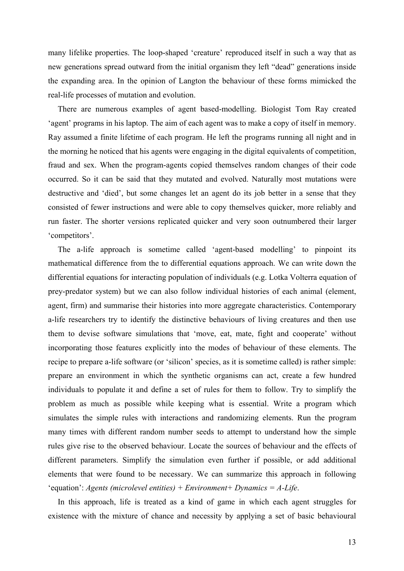many lifelike properties. The loop-shaped 'creature' reproduced itself in such a way that as new generations spread outward from the initial organism they left "dead" generations inside the expanding area. In the opinion of Langton the behaviour of these forms mimicked the real-life processes of mutation and evolution.

 There are numerous examples of agent based-modelling. Biologist Tom Ray created 'agent' programs in his laptop. The aim of each agent was to make a copy of itself in memory. Ray assumed a finite lifetime of each program. He left the programs running all night and in the morning he noticed that his agents were engaging in the digital equivalents of competition, fraud and sex. When the program-agents copied themselves random changes of their code occurred. So it can be said that they mutated and evolved. Naturally most mutations were destructive and 'died', but some changes let an agent do its job better in a sense that they consisted of fewer instructions and were able to copy themselves quicker, more reliably and run faster. The shorter versions replicated quicker and very soon outnumbered their larger 'competitors'.

The a-life approach is sometime called 'agent-based modelling' to pinpoint its mathematical difference from the to differential equations approach. We can write down the differential equations for interacting population of individuals (e.g. Lotka Volterra equation of prey-predator system) but we can also follow individual histories of each animal (element, agent, firm) and summarise their histories into more aggregate characteristics. Contemporary a-life researchers try to identify the distinctive behaviours of living creatures and then use them to devise software simulations that 'move, eat, mate, fight and cooperate' without incorporating those features explicitly into the modes of behaviour of these elements. The recipe to prepare a-life software (or 'silicon' species, as it is sometime called) is rather simple: prepare an environment in which the synthetic organisms can act, create a few hundred individuals to populate it and define a set of rules for them to follow. Try to simplify the problem as much as possible while keeping what is essential. Write a program which simulates the simple rules with interactions and randomizing elements. Run the program many times with different random number seeds to attempt to understand how the simple rules give rise to the observed behaviour. Locate the sources of behaviour and the effects of different parameters. Simplify the simulation even further if possible, or add additional elements that were found to be necessary. We can summarize this approach in following 'equation': *Agents (microlevel entities) + Environment+ Dynamics = A-Life*.

In this approach, life is treated as a kind of game in which each agent struggles for existence with the mixture of chance and necessity by applying a set of basic behavioural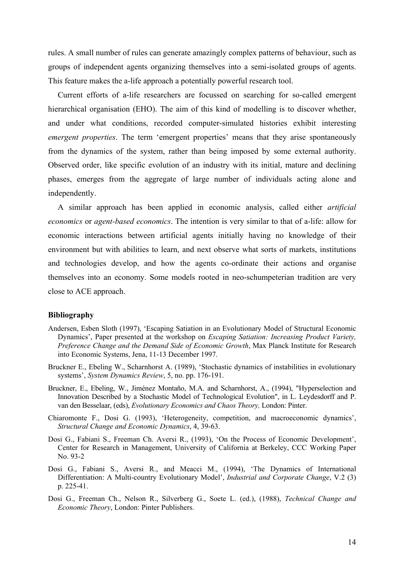rules. A small number of rules can generate amazingly complex patterns of behaviour, such as groups of independent agents organizing themselves into a semi-isolated groups of agents. This feature makes the a-life approach a potentially powerful research tool.

 Current efforts of a-life researchers are focussed on searching for so-called emergent hierarchical organisation (EHO). The aim of this kind of modelling is to discover whether, and under what conditions, recorded computer-simulated histories exhibit interesting *emergent properties*. The term 'emergent properties' means that they arise spontaneously from the dynamics of the system, rather than being imposed by some external authority. Observed order, like specific evolution of an industry with its initial, mature and declining phases, emerges from the aggregate of large number of individuals acting alone and independently.

A similar approach has been applied in economic analysis, called either *artificial economics* or *agent-based economics*. The intention is very similar to that of a-life: allow for economic interactions between artificial agents initially having no knowledge of their environment but with abilities to learn, and next observe what sorts of markets, institutions and technologies develop, and how the agents co-ordinate their actions and organise themselves into an economy. Some models rooted in neo-schumpeterian tradition are very close to ACE approach.

# **Bibliography**

- Andersen, Esben Sloth (1997), 'Escaping Satiation in an Evolutionary Model of Structural Economic Dynamics', Paper presented at the workshop on *Escaping Satiation: Increasing Product Variety, Preference Change and the Demand Side of Economic Growth*, Max Planck Institute for Research into Economic Systems, Jena, 11-13 December 1997.
- Bruckner E., Ebeling W., Scharnhorst A. (1989), 'Stochastic dynamics of instabilities in evolutionary systems', *System Dynamics Review*, 5, no. pp. 176-191.
- Bruckner, E., Ebeling, W., Jiménez Montaño, M.A. and Scharnhorst, A., (1994), "Hyperselection and Innovation Described by a Stochastic Model of Technological Evolution", in L. Leydesdorff and P. van den Besselaar, (eds), *Evolutionary Economics and Chaos Theory,* London: Pinter.
- Chiaromonte F., Dosi G. (1993), 'Heterogeneity, competition, and macroeconomic dynamics', *Structural Change and Economic Dynamics*, 4, 39-63.
- Dosi G., Fabiani S., Freeman Ch. Aversi R., (1993), 'On the Process of Economic Development', Center for Research in Management, University of California at Berkeley, CCC Working Paper No. 93-2
- Dosi G., Fabiani S., Aversi R., and Meacci M., (1994), 'The Dynamics of International Differentiation: A Multi-country Evolutionary Model', *Industrial and Corporate Change*, V.2 (3) p. 225-41.
- Dosi G., Freeman Ch., Nelson R., Silverberg G., Soete L. (ed.), (1988), *Technical Change and Economic Theory*, London: Pinter Publishers.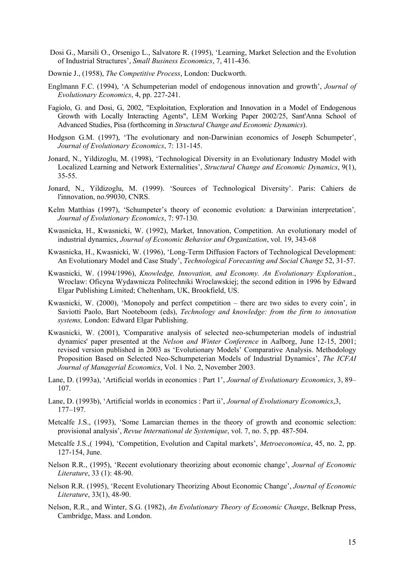- Dosi G., Marsili O., Orsenigo L., Salvatore R. (1995), 'Learning, Market Selection and the Evolution of Industrial Structures', *Small Business Economics*, 7, 411-436.
- Downie J., (1958), *The Competitive Process*, London: Duckworth.
- Englmann F.C. (1994), 'A Schumpeterian model of endogenous innovation and growth', *Journal of Evolutionary Economics*, 4, pp. 227-241.
- Fagiolo, G. and Dosi, G, 2002, "Exploitation, Exploration and Innovation in a Model of Endogenous Growth with Locally Interacting Agents", LEM Working Paper 2002/25, Sant'Anna School of Advanced Studies, Pisa (forthcoming in *Structural Change and Economic Dynamics*).
- Hodgson G.M. (1997), 'The evolutionary and non-Darwinian economics of Joseph Schumpeter', *Journal of Evolutionary Economics*, 7: 131-145.
- Jonard, N., Yildizoglu, M. (1998), 'Technological Diversity in an Evolutionary Industry Model with Localized Learning and Network Externalities', *Structural Change and Economic Dynamics*, 9(1), 35-55.
- Jonard, N., Yildizoglu, M. (1999). 'Sources of Technological Diversity'. Paris: Cahiers de l'innovation, no.99030, CNRS.
- Kelm Matthias (1997), 'Schumpeter's theory of economic evolution: a Darwinian interpretation'*, Journal of Evolutionary Economics*, 7: 97-130*.*
- Kwasnicka, H., Kwasnicki, W. (1992), Market, Innovation, Competition. An evolutionary model of industrial dynamics, *Journal of Economic Behavior and Organization*, vol. 19, 343-68
- Kwasnicka, H., Kwasnicki, W. (1996), 'Long-Term Diffusion Factors of Technological Development: An Evolutionary Model and Case Study', *Technological Forecasting and Social Change* 52, 31-57.
- Kwasnicki, W. (1994/1996), *Knowledge, Innovation, and Economy. An Evolutionary Exploration*., Wroclaw: Oficyna Wydawnicza Politechniki Wroclawskiej; the second edition in 1996 by Edward Elgar Publishing Limited; Cheltenham, UK, Brookfield, US.
- Kwasnicki, W. (2000), 'Monopoly and perfect competition there are two sides to every coin', in Saviotti Paolo, Bart Nooteboom (eds), *Technology and knowledge: from the firm to innovation systems,* London: Edward Elgar Publishing.
- Kwasnicki, W. (2001), 'Comparative analysis of selected neo-schumpeterian models of industrial dynamics' paper presented at the *Nelson and Winter Conference* in Aalborg, June 12-15, 2001; revised version published in 2003 as 'Evolutionary Models' Comparative Analysis. Methodology Proposition Based on Selected Neo-Schumpeterian Models of Industrial Dynamics', *The ICFAI Journal of Managerial Economics*, Vol. 1 No. 2, November 2003.
- Lane, D. (1993a), 'Artificial worlds in economics : Part 1', *Journal of Evolutionary Economics*, 3, 89– 107.
- Lane, D. (1993b), 'Artificial worlds in economics : Part ii', *Journal of Evolutionary Economics*,3, 177–197.
- Metcalfe J.S., (1993), 'Some Lamarcian themes in the theory of growth and economic selection: provisional analysis', *Revue International de Systemique*, vol. 7, no. 5, pp. 487-504.
- Metcalfe J.S.,( 1994), 'Competition, Evolution and Capital markets', *Metroeconomica*, 45, no. 2, pp. 127-154, June.
- Nelson R.R., (1995), 'Recent evolutionary theorizing about economic change', *Journal of Economic Literature*, 33 (1): 48-90.
- Nelson R.R. (1995), 'Recent Evolutionary Theorizing About Economic Change', *Journal of Economic Literature*, 33(1), 48-90.
- Nelson, R.R., and Winter, S.G. (1982), *An Evolutionary Theory of Economic Change*, Belknap Press, Cambridge, Mass. and London.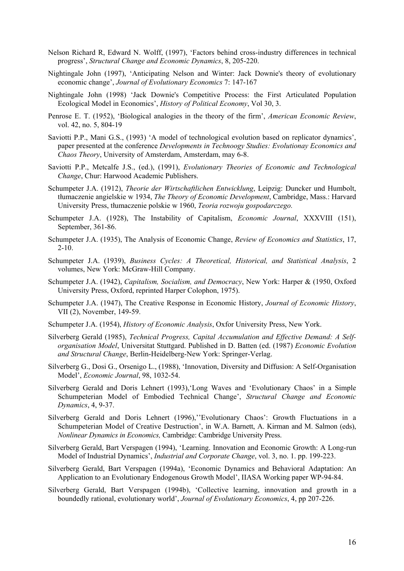- Nelson Richard R, Edward N. Wolff, (1997), 'Factors behind cross-industry differences in technical progress', *Structural Change and Economic Dynamics*, 8, 205-220.
- Nightingale John (1997), 'Anticipating Nelson and Winter: Jack Downie's theory of evolutionary economic change', *Journal of Evolutionary Economics* 7: 147-167
- Nightingale John (1998) 'Jack Downie's Competitive Process: the First Articulated Population Ecological Model in Economics', *History of Political Economy*, Vol 30, 3.
- Penrose E. T. (1952), 'Biological analogies in the theory of the firm', *American Economic Review*, vol. 42, no. 5, 804-19
- Saviotti P.P., Mani G.S., (1993) 'A model of technological evolution based on replicator dynamics', paper presented at the conference *Developments in Technoogy Studies: Evolutionay Economics and Chaos Theory*, University of Amsterdam, Amsterdam, may 6-8.
- Saviotti P.P., Metcalfe J.S., (ed.), (1991), *Evolutionary Theories of Economic and Technological Change*, Chur: Harwood Academic Publishers.
- Schumpeter J.A. (1912), *Theorie der Wirtschaftlichen Entwicklung*, Leipzig: Duncker und Humbolt, tłumaczenie angielskie w 1934, *The Theory of Economic Development*, Cambridge, Mass.: Harvard University Press, tłumaczenie polskie w 1960, *Teoria rozwoju gospodarczego.*
- Schumpeter J.A. (1928), The Instability of Capitalism, *Economic Journal*, XXXVIII (151), September, 361-86.
- Schumpeter J.A. (1935), The Analysis of Economic Change, *Review of Economics and Statistics*, 17, 2-10.
- Schumpeter J.A. (1939), *Business Cycles: A Theoretical, Historical, and Statistical Analysis*, 2 volumes, New York: McGraw-Hill Company.
- Schumpeter J.A. (1942), *Capitalism, Socialism, and Democracy*, New York: Harper & (1950, Oxford University Press, Oxford, reprinted Harper Colophon, 1975).
- Schumpeter J.A. (1947), The Creative Response in Economic History, *Journal of Economic History*, VII (2), November, 149-59.
- Schumpeter J.A. (1954), *History of Economic Analysis*, Oxfor University Press, New York.
- Silverberg Gerald (1985), *Technical Progress, Capital Accumulation and Effective Demand: A Selforganisation Model*, Universitat Stuttgard. Published in D. Batten (ed. (1987) *Economic Evolution and Structural Change*, Berlin-Heidelberg-New York: Springer-Verlag.
- Silverberg G., Dosi G., Orsenigo L., (1988), 'Innovation, Diversity and Diffusion: A Self-Organisation Model', *Economic Journal*, 98, 1032-54.
- Silverberg Gerald and Doris Lehnert (1993),'Long Waves and 'Evolutionary Chaos' in a Simple Schumpeterian Model of Embodied Technical Change', *Structural Change and Economic Dynamics*, 4, 9-37.
- Silverberg Gerald and Doris Lehnert (1996),''Evolutionary Chaos': Growth Fluctuations in a Schumpeterian Model of Creative Destruction', in W.A. Barnett, A. Kirman and M. Salmon (eds), *Nonlinear Dynamics in Economics,* Cambridge: Cambridge University Press.
- Silverberg Gerald, Bart Verspagen (1994), 'Learning. Innovation and Economic Growth: A Long-run Model of Industrial Dynamics', *Industrial and Corporate Change*, vol. 3, no. 1. pp. 199-223.
- Silverberg Gerald, Bart Verspagen (1994a), 'Economic Dynamics and Behavioral Adaptation: An Application to an Evolutionary Endogenous Growth Model', IIASA Working paper WP-94-84.
- Silverberg Gerald, Bart Verspagen (1994b), 'Collective learning, innovation and growth in a boundedly rational, evolutionary world', *Journal of Evolutionary Economics*, 4, pp 207-226.